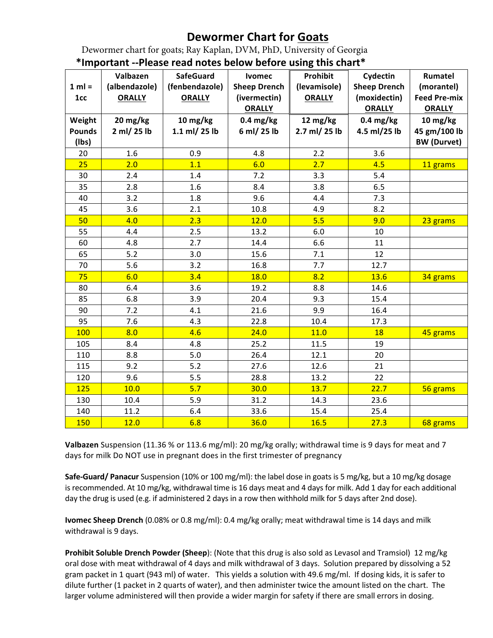## **Dewormer Chart for Goats**

Dewormer chart for goats; Ray Kaplan, DVM, PhD, University of Georgia

|               | Valbazen      | important --Piease read notes below belore using this chart<br><b>SafeGuard</b> | <b>Ivomec</b>       | Prohibit      | Cydectin            | Rumatel             |
|---------------|---------------|---------------------------------------------------------------------------------|---------------------|---------------|---------------------|---------------------|
| $1 ml =$      | (albendazole) | (fenbendazole)                                                                  | <b>Sheep Drench</b> | (levamisole)  | <b>Sheep Drench</b> | (morantel)          |
| 1cc           | <b>ORALLY</b> | <b>ORALLY</b>                                                                   | (ivermectin)        | <b>ORALLY</b> | (moxidectin)        | <b>Feed Pre-mix</b> |
|               |               |                                                                                 | <b>ORALLY</b>       |               | <b>ORALLY</b>       | <b>ORALLY</b>       |
| Weight        | 20 mg/kg      | 10 mg/kg                                                                        | $0.4$ mg/kg         | 12 mg/kg      | $0.4$ mg/kg         | 10 mg/kg            |
| <b>Pounds</b> | 2 ml/ 25 lb   | 1.1 ml/ 25 lb                                                                   | 6 ml/ 25 lb         | 2.7 ml/ 25 lb | 4.5 ml/25 lb        | 45 gm/100 lb        |
| (lbs)         |               |                                                                                 |                     |               |                     | <b>BW</b> (Durvet)  |
| 20            | 1.6           | 0.9                                                                             | 4.8                 | 2.2           | 3.6                 |                     |
| 25            | 2.0           | 1.1                                                                             | 6.0                 | 2.7           | 4.5                 | 11 grams            |
| 30            | 2.4           | 1.4                                                                             | 7.2                 | 3.3           | 5.4                 |                     |
| 35            | 2.8           | 1.6                                                                             | 8.4                 | 3.8           | 6.5                 |                     |
| 40            | 3.2           | 1.8                                                                             | 9.6                 | 4.4           | 7.3                 |                     |
| 45            | 3.6           | 2.1                                                                             | 10.8                | 4.9           | 8.2                 |                     |
| 50            | 4.0           | 2.3                                                                             | 12.0                | 5.5           | 9.0                 | 23 grams            |
| 55            | 4.4           | 2.5                                                                             | 13.2                | $6.0\,$       | 10                  |                     |
| 60            | 4.8           | 2.7                                                                             | 14.4                | 6.6           | 11                  |                     |
| 65            | 5.2           | 3.0                                                                             | 15.6                | 7.1           | 12                  |                     |
| 70            | 5.6           | 3.2                                                                             | 16.8                | 7.7           | 12.7                |                     |
| 75            | 6.0           | 3.4                                                                             | 18.0                | 8.2           | 13.6                | 34 grams            |
| 80            | 6.4           | 3.6                                                                             | 19.2                | 8.8           | 14.6                |                     |
| 85            | 6.8           | 3.9                                                                             | 20.4                | 9.3           | 15.4                |                     |
| 90            | 7.2           | 4.1                                                                             | 21.6                | 9.9           | 16.4                |                     |
| 95            | 7.6           | 4.3                                                                             | 22.8                | 10.4          | 17.3                |                     |
| 100           | 8.0           | 4.6                                                                             | 24.0                | 11.0          | 18                  | 45 grams            |
| 105           | 8.4           | 4.8                                                                             | 25.2                | 11.5          | 19                  |                     |
| 110           | 8.8           | 5.0                                                                             | 26.4                | 12.1          | 20                  |                     |
| 115           | 9.2           | 5.2                                                                             | 27.6                | 12.6          | 21                  |                     |
| 120           | 9.6           | 5.5                                                                             | 28.8                | 13.2          | 22                  |                     |
| 125           | 10.0          | 5.7                                                                             | 30.0                | 13.7          | 22.7                | 56 grams            |
| 130           | 10.4          | 5.9                                                                             | 31.2                | 14.3          | 23.6                |                     |
| 140           | 11.2          | 6.4                                                                             | 33.6                | 15.4          | 25.4                |                     |
| 150           | 12.0          | 6.8                                                                             | 36.0                | 16.5          | 27.3                | 68 grams            |

**\*Important --Please read notes below before using this chart\***

**Valbazen** Suspension (11.36 % or 113.6 mg/ml): 20 mg/kg orally; withdrawal time is 9 days for meat and 7 days for milk Do NOT use in pregnant does in the first trimester of pregnancy

**Safe-Guard/ Panacur** Suspension (10% or 100 mg/ml): the label dose in goats is 5 mg/kg, but a 10 mg/kg dosage is recommended. At 10 mg/kg, withdrawal time is 16 days meat and 4 days for milk. Add 1 day for each additional day the drug is used (e.g. if administered 2 days in a row then withhold milk for 5 days after 2nd dose).

**Ivomec Sheep Drench** (0.08% or 0.8 mg/ml): 0.4 mg/kg orally; meat withdrawal time is 14 days and milk withdrawal is 9 days.

**Prohibit Soluble Drench Powder (Sheep**): (Note that this drug is also sold as Levasol and Tramsiol) 12 mg/kg oral dose with meat withdrawal of 4 days and milk withdrawal of 3 days. Solution prepared by dissolving a 52 gram packet in 1 quart (943 ml) of water. This yields a solution with 49.6 mg/ml. If dosing kids, it is safer to dilute further (1 packet in 2 quarts of water), and then administer twice the amount listed on the chart. The larger volume administered will then provide a wider margin for safety if there are small errors in dosing.